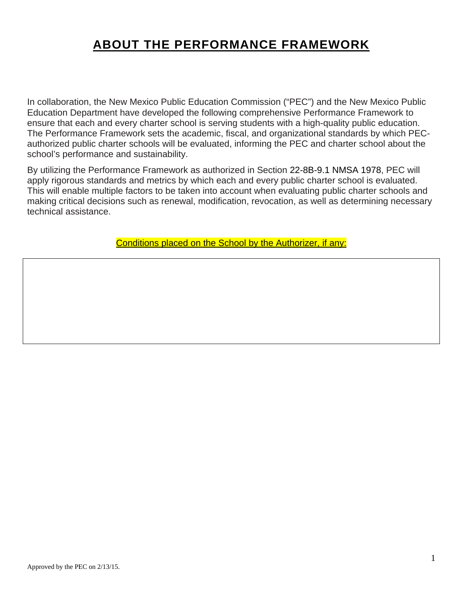# **ABOUT THE PERFORMANCE FRAMEWORK**

In collaboration, the New Mexico Public Education Commission ("PEC") and the New Mexico Public Education Department have developed the following comprehensive Performance Framework to ensure that each and every charter school is serving students with a high-quality public education. The Performance Framework sets the academic, fiscal, and organizational standards by which PECauthorized public charter schools will be evaluated, informing the PEC and charter school about the school's performance and sustainability.

By utilizing the Performance Framework as authorized in Section 22-8B-9.1 NMSA 1978, PEC will apply rigorous standards and metrics by which each and every public charter school is evaluated. This will enable multiple factors to be taken into account when evaluating public charter schools and making critical decisions such as renewal, modification, revocation, as well as determining necessary technical assistance.

Conditions placed on the School by the Authorizer, if any: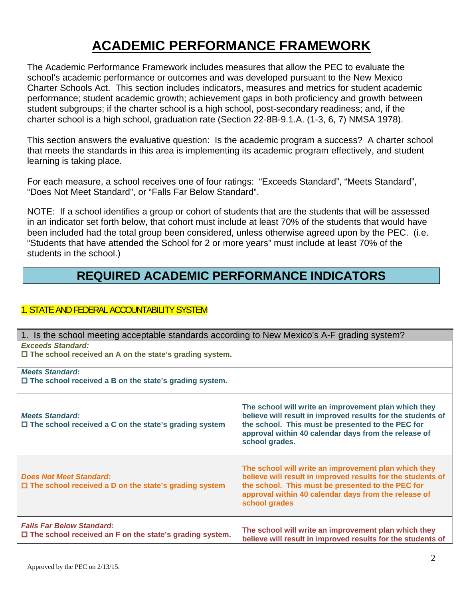# **ACADEMIC PERFORMANCE FRAMEWORK**

The Academic Performance Framework includes measures that allow the PEC to evaluate the school's academic performance or outcomes and was developed pursuant to the New Mexico Charter Schools Act. This section includes indicators, measures and metrics for student academic performance; student academic growth; achievement gaps in both proficiency and growth between student subgroups; if the charter school is a high school, post-secondary readiness; and, if the charter school is a high school, graduation rate (Section 22-8B-9.1.A. (1-3, 6, 7) NMSA 1978).

This section answers the evaluative question: Is the academic program a success? A charter school that meets the standards in this area is implementing its academic program effectively, and student learning is taking place.

For each measure, a school receives one of four ratings: "Exceeds Standard", "Meets Standard", "Does Not Meet Standard", or "Falls Far Below Standard".

NOTE: If a school identifies a group or cohort of students that are the students that will be assessed in an indicator set forth below, that cohort must include at least 70% of the students that would have been included had the total group been considered, unless otherwise agreed upon by the PEC. (i.e. "Students that have attended the School for 2 or more years" must include at least 70% of the students in the school.)

# **REQUIRED ACADEMIC PERFORMANCE INDICATORS**

### 1. STATE AND FEDERAL ACCOUNTABILITY SYSTEM

1. Is the school meeting acceptable standards according to New Mexico's A-F grading system? *Exceeds Standard:* 

 **The school received an A on the state's grading system.** 

*Meets Standard:* 

 **The school received a B on the state's grading system.** 

| <b>Meets Standard:</b><br>$\Box$ The school received a C on the state's grading system                | The school will write an improvement plan which they<br>believe will result in improved results for the students of<br>the school. This must be presented to the PEC for<br>approval within 40 calendar days from the release of<br>school grades. |
|-------------------------------------------------------------------------------------------------------|----------------------------------------------------------------------------------------------------------------------------------------------------------------------------------------------------------------------------------------------------|
| <b>Does Not Meet Standard:</b><br>$\Box$ The school received a D on the state's grading system        | The school will write an improvement plan which they<br>believe will result in improved results for the students of<br>the school. This must be presented to the PEC for<br>approval within 40 calendar days from the release of<br>school grades  |
| <b>Falls Far Below Standard:</b><br>$\square$ The school received an F on the state's grading system. | The school will write an improvement plan which they<br>believe will result in improved results for the students of                                                                                                                                |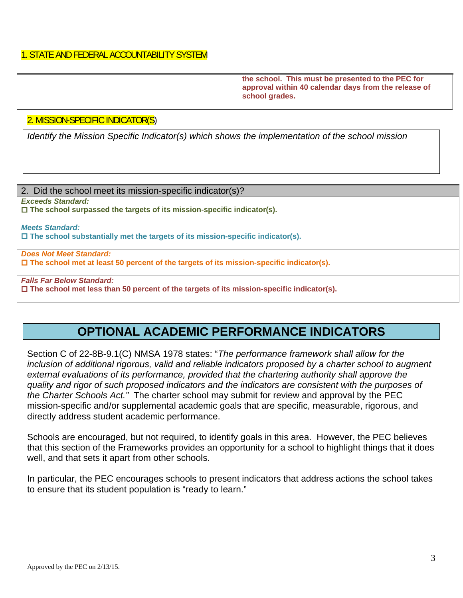### 1. STATE AND FEDERAL ACCOUNTABILITY SYSTEM

| the school. This must be presented to the PEC for<br>approval within 40 calendar days from the release of<br>school grades. |
|-----------------------------------------------------------------------------------------------------------------------------|
|                                                                                                                             |

#### 2. MISSION-SPECIFIC INDICATOR(S)

*Identify the Mission Specific Indicator(s) which shows the implementation of the school mission* 

| 2. Did the school meet its mission-specific indicator(s)?                                       |
|-------------------------------------------------------------------------------------------------|
| <b>Exceeds Standard:</b>                                                                        |
| $\Box$ The school surpassed the targets of its mission-specific indicator(s).                   |
|                                                                                                 |
| <b>Meets Standard:</b>                                                                          |
| $\Box$ The school substantially met the targets of its mission-specific indicator(s).           |
|                                                                                                 |
| <b>Does Not Meet Standard:</b>                                                                  |
| $\Box$ The school met at least 50 percent of the targets of its mission-specific indicator(s).  |
|                                                                                                 |
| <b>Falls Far Below Standard:</b>                                                                |
| $\Box$ The school met less than 50 percent of the targets of its mission-specific indicator(s). |
|                                                                                                 |

# **OPTIONAL ACADEMIC PERFORMANCE INDICATORS**

Section C of 22-8B-9.1(C) NMSA 1978 states: "*The performance framework shall allow for the inclusion of additional rigorous, valid and reliable indicators proposed by a charter school to augment external evaluations of its performance, provided that the chartering authority shall approve the quality and rigor of such proposed indicators and the indicators are consistent with the purposes of the Charter Schools Act."* The charter school may submit for review and approval by the PEC mission-specific and/or supplemental academic goals that are specific, measurable, rigorous, and directly address student academic performance.

Schools are encouraged, but not required, to identify goals in this area. However, the PEC believes that this section of the Frameworks provides an opportunity for a school to highlight things that it does well, and that sets it apart from other schools.

In particular, the PEC encourages schools to present indicators that address actions the school takes to ensure that its student population is "ready to learn."